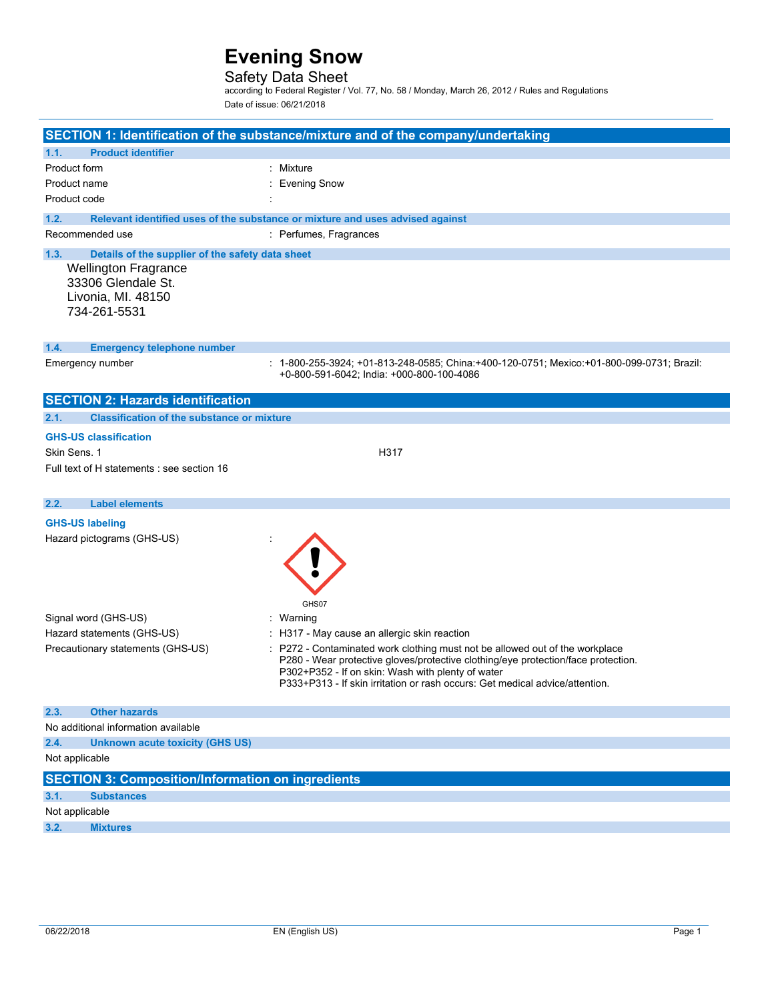## Safety Data Sheet

according to Federal Register / Vol. 77, No. 58 / Monday, March 26, 2012 / Rules and Regulations Date of issue: 06/21/2018

|                |                                                          | SECTION 1: Identification of the substance/mixture and of the company/undertaking                                                      |
|----------------|----------------------------------------------------------|----------------------------------------------------------------------------------------------------------------------------------------|
| 1.1.           | <b>Product identifier</b>                                |                                                                                                                                        |
| Product form   |                                                          | : Mixture                                                                                                                              |
| Product name   |                                                          | <b>Evening Snow</b>                                                                                                                    |
| Product code   |                                                          |                                                                                                                                        |
| 1.2.           |                                                          | Relevant identified uses of the substance or mixture and uses advised against                                                          |
|                | Recommended use                                          | : Perfumes, Fragrances                                                                                                                 |
| 1.3.           | Details of the supplier of the safety data sheet         |                                                                                                                                        |
|                | <b>Wellington Fragrance</b>                              |                                                                                                                                        |
|                | 33306 Glendale St.                                       |                                                                                                                                        |
|                | Livonia, MI. 48150                                       |                                                                                                                                        |
|                | 734-261-5531                                             |                                                                                                                                        |
|                |                                                          |                                                                                                                                        |
| 1.4.           | <b>Emergency telephone number</b>                        |                                                                                                                                        |
|                | Emergency number                                         | : 1-800-255-3924; +01-813-248-0585; China:+400-120-0751; Mexico:+01-800-099-0731; Brazil:<br>+0-800-591-6042; India: +000-800-100-4086 |
|                |                                                          |                                                                                                                                        |
|                | <b>SECTION 2: Hazards identification</b>                 |                                                                                                                                        |
| 2.1.           | <b>Classification of the substance or mixture</b>        |                                                                                                                                        |
|                | <b>GHS-US classification</b>                             |                                                                                                                                        |
| Skin Sens. 1   |                                                          | H317                                                                                                                                   |
|                | Full text of H statements : see section 16               |                                                                                                                                        |
|                |                                                          |                                                                                                                                        |
| 2.2.           | <b>Label elements</b>                                    |                                                                                                                                        |
|                | <b>GHS-US labeling</b>                                   |                                                                                                                                        |
|                | Hazard pictograms (GHS-US)                               |                                                                                                                                        |
|                |                                                          |                                                                                                                                        |
|                |                                                          |                                                                                                                                        |
|                |                                                          |                                                                                                                                        |
|                |                                                          |                                                                                                                                        |
|                |                                                          | GHS07                                                                                                                                  |
|                | Signal word (GHS-US)                                     | : Warning                                                                                                                              |
|                | Hazard statements (GHS-US)                               | : H317 - May cause an allergic skin reaction                                                                                           |
|                | Precautionary statements (GHS-US)                        | : P272 - Contaminated work clothing must not be allowed out of the workplace                                                           |
|                |                                                          | P280 - Wear protective gloves/protective clothing/eye protection/face protection.                                                      |
|                |                                                          | P302+P352 - If on skin: Wash with plenty of water                                                                                      |
|                |                                                          | P333+P313 - If skin irritation or rash occurs: Get medical advice/attention.                                                           |
| 2.3.           | <b>Other hazards</b>                                     |                                                                                                                                        |
|                | No additional information available                      |                                                                                                                                        |
| 2.4.           | <b>Unknown acute toxicity (GHS US)</b>                   |                                                                                                                                        |
| Not applicable |                                                          |                                                                                                                                        |
|                | <b>SECTION 3: Composition/Information on ingredients</b> |                                                                                                                                        |
| 3.1.           | <b>Substances</b>                                        |                                                                                                                                        |
| Not applicable |                                                          |                                                                                                                                        |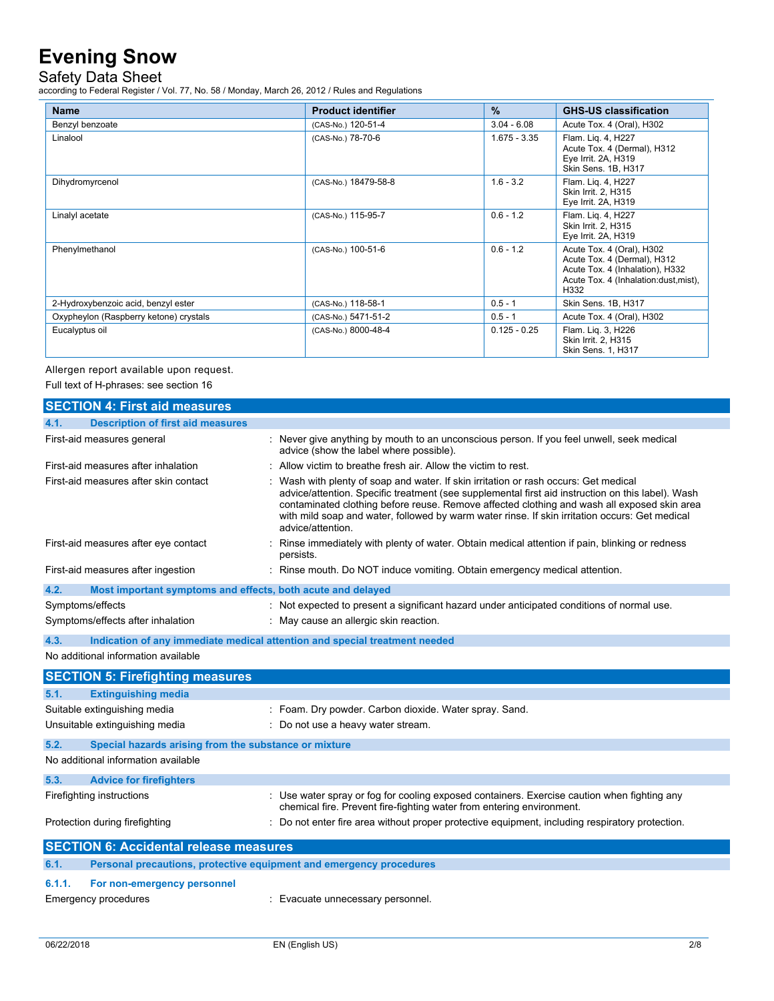Safety Data Sheet

according to Federal Register / Vol. 77, No. 58 / Monday, March 26, 2012 / Rules and Regulations

| <b>Name</b>                            | <b>Product identifier</b> | $\frac{9}{6}$  | <b>GHS-US classification</b>                                                                                                                  |
|----------------------------------------|---------------------------|----------------|-----------------------------------------------------------------------------------------------------------------------------------------------|
| Benzyl benzoate                        | (CAS-No.) 120-51-4        | $3.04 - 6.08$  | Acute Tox. 4 (Oral), H302                                                                                                                     |
| Linalool                               | (CAS-No.) 78-70-6         | $1.675 - 3.35$ | Flam. Lig. 4, H227<br>Acute Tox. 4 (Dermal), H312<br>Eye Irrit. 2A, H319<br>Skin Sens. 1B, H317                                               |
| Dihydromyrcenol                        | (CAS-No.) 18479-58-8      | $1.6 - 3.2$    | Flam. Lig. 4, H227<br>Skin Irrit. 2, H315<br>Eye Irrit. 2A, H319                                                                              |
| Linalyl acetate                        | (CAS-No.) 115-95-7        | $0.6 - 1.2$    | Flam. Lig. 4, H227<br>Skin Irrit. 2, H315<br>Eye Irrit. 2A, H319                                                                              |
| Phenylmethanol                         | (CAS-No.) 100-51-6        | $0.6 - 1.2$    | Acute Tox. 4 (Oral), H302<br>Acute Tox. 4 (Dermal), H312<br>Acute Tox. 4 (Inhalation), H332<br>Acute Tox. 4 (Inhalation: dust, mist),<br>H332 |
| 2-Hydroxybenzoic acid, benzyl ester    | (CAS-No.) 118-58-1        | $0.5 - 1$      | Skin Sens. 1B, H317                                                                                                                           |
| Oxypheylon (Raspberry ketone) crystals | (CAS-No.) 5471-51-2       | $0.5 - 1$      | Acute Tox. 4 (Oral), H302                                                                                                                     |
| Eucalyptus oil                         | (CAS-No.) 8000-48-4       | $0.125 - 0.25$ | Flam. Lig. 3, H226<br>Skin Irrit. 2, H315<br><b>Skin Sens. 1, H317</b>                                                                        |

Allergen report available upon request.

Full text of H-phrases: see section 16

| <b>SECTION 4: First aid measures</b>                                |                                                                                                                                                                                                                                                                                                                                                                                                                 |  |  |
|---------------------------------------------------------------------|-----------------------------------------------------------------------------------------------------------------------------------------------------------------------------------------------------------------------------------------------------------------------------------------------------------------------------------------------------------------------------------------------------------------|--|--|
| <b>Description of first aid measures</b><br>4.1.                    |                                                                                                                                                                                                                                                                                                                                                                                                                 |  |  |
| First-aid measures general                                          | : Never give anything by mouth to an unconscious person. If you feel unwell, seek medical<br>advice (show the label where possible).                                                                                                                                                                                                                                                                            |  |  |
| First-aid measures after inhalation                                 | $\therefore$ Allow victim to breathe fresh air. Allow the victim to rest.                                                                                                                                                                                                                                                                                                                                       |  |  |
| First-aid measures after skin contact                               | : Wash with plenty of soap and water. If skin irritation or rash occurs: Get medical<br>advice/attention. Specific treatment (see supplemental first aid instruction on this label). Wash<br>contaminated clothing before reuse. Remove affected clothing and wash all exposed skin area<br>with mild soap and water, followed by warm water rinse. If skin irritation occurs: Get medical<br>advice/attention. |  |  |
| First-aid measures after eye contact                                | Rinse immediately with plenty of water. Obtain medical attention if pain, blinking or redness<br>persists.                                                                                                                                                                                                                                                                                                      |  |  |
| First-aid measures after ingestion                                  | : Rinse mouth. Do NOT induce vomiting. Obtain emergency medical attention.                                                                                                                                                                                                                                                                                                                                      |  |  |
| 4.2.<br>Most important symptoms and effects, both acute and delayed |                                                                                                                                                                                                                                                                                                                                                                                                                 |  |  |
| Symptoms/effects                                                    | : Not expected to present a significant hazard under anticipated conditions of normal use.                                                                                                                                                                                                                                                                                                                      |  |  |
| Symptoms/effects after inhalation                                   | : May cause an allergic skin reaction.                                                                                                                                                                                                                                                                                                                                                                          |  |  |
| 4.3.                                                                | Indication of any immediate medical attention and special treatment needed                                                                                                                                                                                                                                                                                                                                      |  |  |
| No additional information available                                 |                                                                                                                                                                                                                                                                                                                                                                                                                 |  |  |
| <b>SECTION 5: Firefighting measures</b>                             |                                                                                                                                                                                                                                                                                                                                                                                                                 |  |  |
| <b>Extinguishing media</b><br>5.1.                                  |                                                                                                                                                                                                                                                                                                                                                                                                                 |  |  |
| Suitable extinguishing media                                        | : Foam. Dry powder. Carbon dioxide. Water spray. Sand.                                                                                                                                                                                                                                                                                                                                                          |  |  |
| Unsuitable extinguishing media                                      | : Do not use a heavy water stream.                                                                                                                                                                                                                                                                                                                                                                              |  |  |

| 5.2.                                | Special hazards arising from the substance or mixture |                                                                                                                                                                      |  |
|-------------------------------------|-------------------------------------------------------|----------------------------------------------------------------------------------------------------------------------------------------------------------------------|--|
| No additional information available |                                                       |                                                                                                                                                                      |  |
| 5.3.                                | <b>Advice for firefighters</b>                        |                                                                                                                                                                      |  |
|                                     | Firefighting instructions                             | : Use water spray or fog for cooling exposed containers. Exercise caution when fighting any<br>chemical fire. Prevent fire-fighting water from entering environment. |  |
|                                     | Protection during firefighting                        | : Do not enter fire area without proper protective equipment, including respiratory protection.                                                                      |  |
|                                     |                                                       |                                                                                                                                                                      |  |

| <b>SECTION 6: Accidental release measures</b> |                                                                     |                                   |
|-----------------------------------------------|---------------------------------------------------------------------|-----------------------------------|
| 6.1.                                          | Personal precautions, protective equipment and emergency procedures |                                   |
|                                               | 6.1.1. For non-emergency personnel                                  |                                   |
|                                               | Emergency procedures                                                | : Evacuate unnecessary personnel. |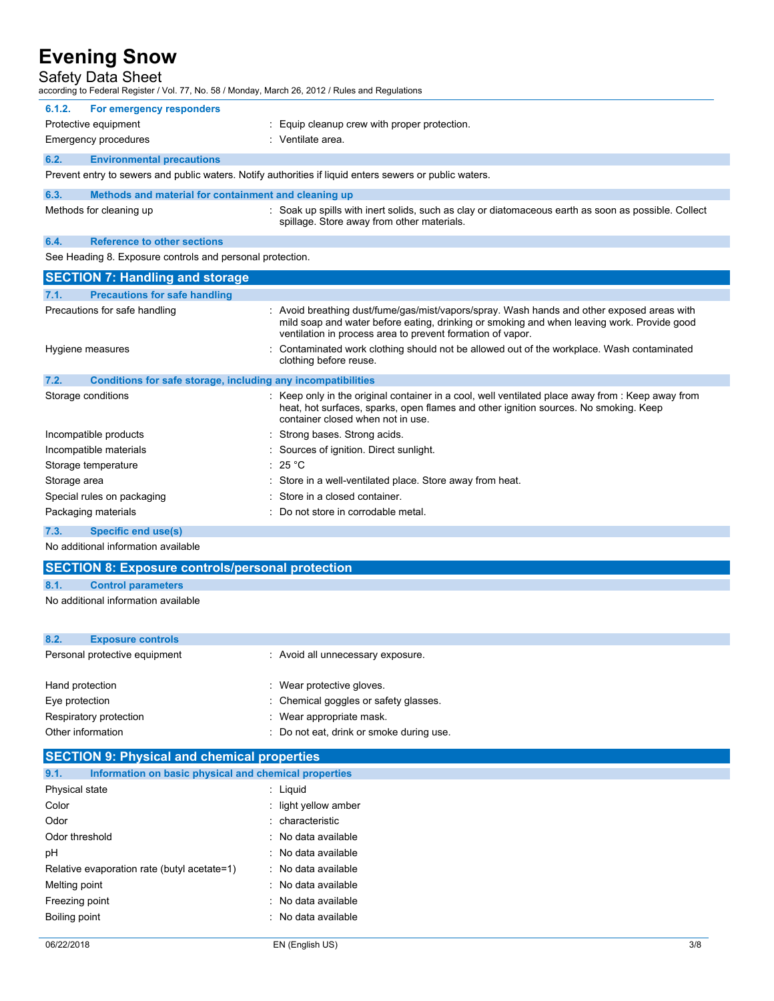### Safety Data Sheet

|                                                                      | according to Federal Register / Vol. 77, No. 58 / Monday, March 26, 2012 / Rules and Regulations                                                                                                                                                       |  |  |
|----------------------------------------------------------------------|--------------------------------------------------------------------------------------------------------------------------------------------------------------------------------------------------------------------------------------------------------|--|--|
| For emergency responders<br>6.1.2.                                   |                                                                                                                                                                                                                                                        |  |  |
| Protective equipment                                                 | : Equip cleanup crew with proper protection.                                                                                                                                                                                                           |  |  |
| <b>Emergency procedures</b>                                          | : Ventilate area.                                                                                                                                                                                                                                      |  |  |
| <b>Environmental precautions</b><br>6.2.                             |                                                                                                                                                                                                                                                        |  |  |
|                                                                      | Prevent entry to sewers and public waters. Notify authorities if liquid enters sewers or public waters.                                                                                                                                                |  |  |
| 6.3.<br>Methods and material for containment and cleaning up         |                                                                                                                                                                                                                                                        |  |  |
| Methods for cleaning up                                              | : Soak up spills with inert solids, such as clay or diatomaceous earth as soon as possible. Collect<br>spillage. Store away from other materials.                                                                                                      |  |  |
| <b>Reference to other sections</b><br>6.4.                           |                                                                                                                                                                                                                                                        |  |  |
| See Heading 8. Exposure controls and personal protection.            |                                                                                                                                                                                                                                                        |  |  |
| <b>SECTION 7: Handling and storage</b>                               |                                                                                                                                                                                                                                                        |  |  |
| <b>Precautions for safe handling</b><br>7.1.                         |                                                                                                                                                                                                                                                        |  |  |
| Precautions for safe handling                                        | : Avoid breathing dust/fume/gas/mist/vapors/spray. Wash hands and other exposed areas with<br>mild soap and water before eating, drinking or smoking and when leaving work. Provide good<br>ventilation in process area to prevent formation of vapor. |  |  |
| Hygiene measures                                                     | Contaminated work clothing should not be allowed out of the workplace. Wash contaminated<br>clothing before reuse.                                                                                                                                     |  |  |
| 7.2.<br>Conditions for safe storage, including any incompatibilities |                                                                                                                                                                                                                                                        |  |  |
| Storage conditions                                                   | : Keep only in the original container in a cool, well ventilated place away from : Keep away from<br>heat, hot surfaces, sparks, open flames and other ignition sources. No smoking. Keep<br>container closed when not in use.                         |  |  |
| Incompatible products                                                | Strong bases. Strong acids.                                                                                                                                                                                                                            |  |  |
| Incompatible materials                                               | Sources of ignition. Direct sunlight.                                                                                                                                                                                                                  |  |  |
| Storage temperature                                                  | : 25 °C                                                                                                                                                                                                                                                |  |  |
| Storage area                                                         | Store in a well-ventilated place. Store away from heat.                                                                                                                                                                                                |  |  |
| Special rules on packaging                                           | Store in a closed container.                                                                                                                                                                                                                           |  |  |
| Packaging materials                                                  | Do not store in corrodable metal.                                                                                                                                                                                                                      |  |  |
| 7.3.<br>Specific end use(s)                                          |                                                                                                                                                                                                                                                        |  |  |

No additional information available

## **SECTION 8: Exposure controls/personal protection**

**8.1. Control parameters**

No additional information available

| 8.2.                          | <b>Exposure controls</b> |                                          |
|-------------------------------|--------------------------|------------------------------------------|
| Personal protective equipment |                          | : Avoid all unnecessary exposure.        |
|                               |                          |                                          |
| Hand protection               |                          | : Wear protective gloves.                |
| Eye protection                |                          | : Chemical goggles or safety glasses.    |
|                               | Respiratory protection   | : Wear appropriate mask.                 |
| Other information             |                          | : Do not eat, drink or smoke during use. |

| <b>SECTION 9: Physical and chemical properties</b>            |                      |  |
|---------------------------------------------------------------|----------------------|--|
| 9.1.<br>Information on basic physical and chemical properties |                      |  |
| Physical state                                                | : Liquid             |  |
| Color                                                         | : light yellow amber |  |
| Odor                                                          | : characteristic     |  |
| Odor threshold                                                | : No data available  |  |
| рH                                                            | : No data available  |  |
| Relative evaporation rate (butyl acetate=1)                   | : No data available  |  |
| Melting point                                                 | : No data available  |  |
| Freezing point                                                | : No data available  |  |
| Boiling point                                                 | : No data available  |  |
|                                                               |                      |  |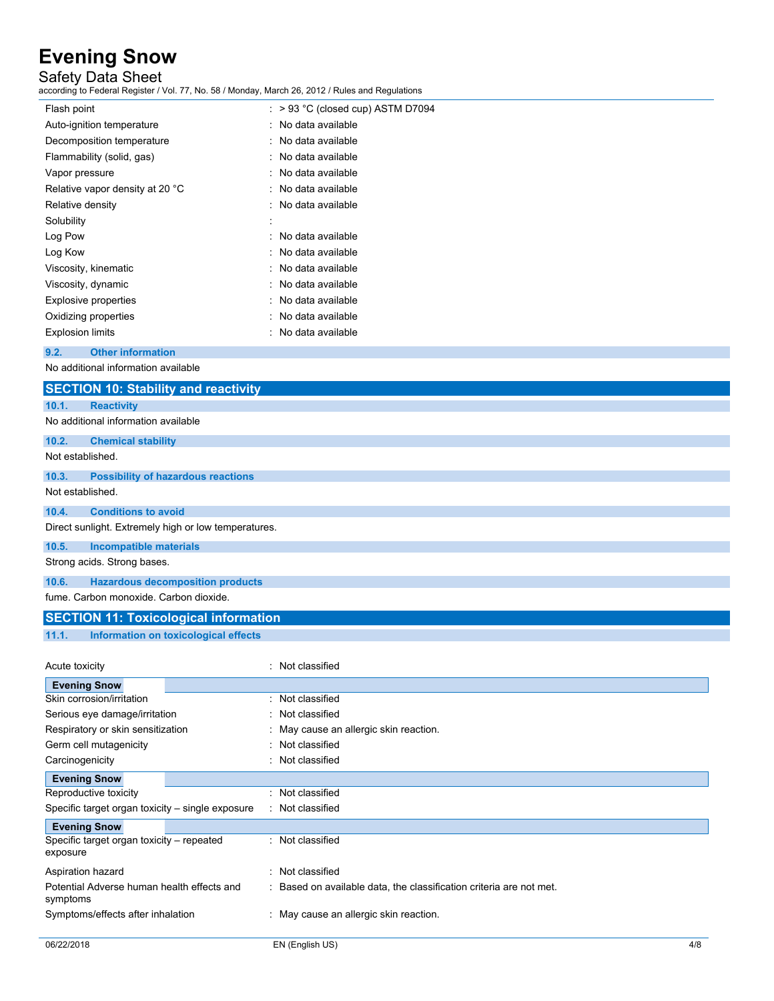### Safety Data Sheet

| ccording to Federal Register / Vol. 77, No. 58 / Monday, March 26, 2012 / Rules and Regulations |                                      |
|-------------------------------------------------------------------------------------------------|--------------------------------------|
| Flash point                                                                                     | $:$ > 93 °C (closed cup) ASTM D7094  |
| Auto-ignition temperature                                                                       | : No data available                  |
| Decomposition temperature                                                                       | No data available                    |
| Flammability (solid, gas)                                                                       | No data available                    |
| Vapor pressure                                                                                  | No data available                    |
| Relative vapor density at 20 °C                                                                 | No data available                    |
| Relative density                                                                                | No data available                    |
| Solubility                                                                                      |                                      |
| Log Pow                                                                                         | No data available                    |
| Log Kow                                                                                         | No data available                    |
| Viscosity, kinematic                                                                            | No data available                    |
| Viscosity, dynamic                                                                              | No data available                    |
| <b>Explosive properties</b>                                                                     | No data available                    |
| Oxidizing properties                                                                            | No data available                    |
| <b>Explosion limits</b>                                                                         | No data available                    |
| 9.2.<br><b>Other information</b>                                                                |                                      |
| No additional information available                                                             |                                      |
| <b>SECTION 10: Stability and reactivity</b>                                                     |                                      |
| 10.1.<br><b>Reactivity</b>                                                                      |                                      |
| No additional information available                                                             |                                      |
| 10.2.<br><b>Chemical stability</b>                                                              |                                      |
| Not established.                                                                                |                                      |
| 10.3.<br><b>Possibility of hazardous reactions</b>                                              |                                      |
| Not established.                                                                                |                                      |
| <b>Conditions to avoid</b><br>10.4.                                                             |                                      |
| Direct sunlight. Extremely high or low temperatures.                                            |                                      |
| 10.5.<br><b>Incompatible materials</b>                                                          |                                      |
| Strong acids. Strong bases.                                                                     |                                      |
|                                                                                                 |                                      |
| 10.6.<br><b>Hazardous decomposition products</b>                                                |                                      |
| fume. Carbon monoxide. Carbon dioxide.                                                          |                                      |
| <b>SECTION 11: Toxicological information</b>                                                    |                                      |
| 11.1.<br>Information on toxicological effects                                                   |                                      |
|                                                                                                 |                                      |
| Acute toxicity                                                                                  | : Not classified                     |
| <b>Evening Snow</b>                                                                             |                                      |
| Skin corrosion/irritation                                                                       | : Not classified<br>Not classified   |
| Serious eye damage/irritation<br>Respiratory or skin sensitization                              | May cause an allergic skin reaction. |
| Germ cell mutagenicity                                                                          | Not classified                       |
| Carcinogenicity                                                                                 | : Not classified                     |
|                                                                                                 |                                      |
| <b>Evening Snow</b><br>Reproductive toxicity                                                    | : Not classified                     |
| Specific target organ toxicity - single exposure                                                | : Not classified                     |
| <b>Evening Snow</b>                                                                             |                                      |
| Specific target organ toxicity - repeated                                                       | : Not classified                     |
| exposure                                                                                        |                                      |
| Aspiration hazard                                                                               | : Not classified                     |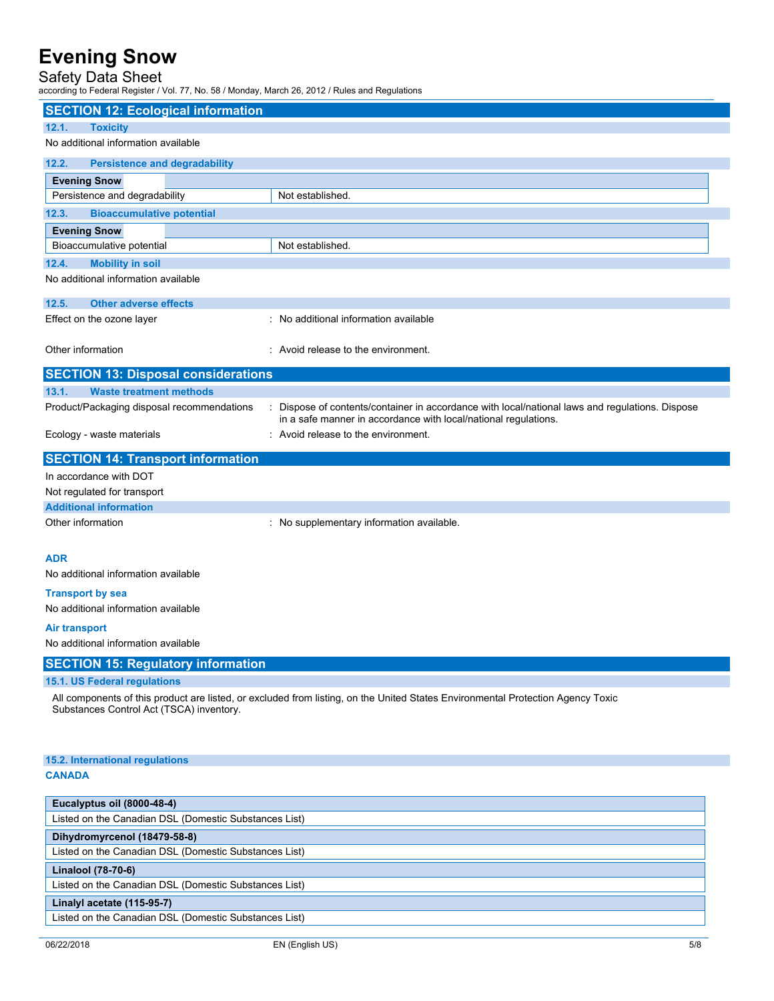### Safety Data Sheet

according to Federal Register / Vol. 77, No. 58 / Monday, March 26, 2012 / Rules and Regulations

| <b>SECTION 12: Ecological information</b>                                           |                                                                                                                                 |  |
|-------------------------------------------------------------------------------------|---------------------------------------------------------------------------------------------------------------------------------|--|
| <b>Toxicity</b><br>12.1.<br>No additional information available                     |                                                                                                                                 |  |
|                                                                                     |                                                                                                                                 |  |
| 12.2.<br><b>Persistence and degradability</b>                                       |                                                                                                                                 |  |
| <b>Evening Snow</b>                                                                 |                                                                                                                                 |  |
| Persistence and degradability                                                       | Not established.                                                                                                                |  |
| 12.3.<br><b>Bioaccumulative potential</b>                                           |                                                                                                                                 |  |
| <b>Evening Snow</b>                                                                 |                                                                                                                                 |  |
| Bioaccumulative potential                                                           | Not established.                                                                                                                |  |
| 12.4.<br><b>Mobility in soil</b>                                                    |                                                                                                                                 |  |
| No additional information available                                                 |                                                                                                                                 |  |
| 12.5.<br><b>Other adverse effects</b>                                               |                                                                                                                                 |  |
| Effect on the ozone layer                                                           | : No additional information available                                                                                           |  |
|                                                                                     |                                                                                                                                 |  |
| Other information                                                                   | : Avoid release to the environment.                                                                                             |  |
| <b>SECTION 13: Disposal considerations</b>                                          |                                                                                                                                 |  |
| 13.1.<br><b>Waste treatment methods</b>                                             |                                                                                                                                 |  |
| Product/Packaging disposal recommendations                                          | Dispose of contents/container in accordance with local/national laws and regulations. Dispose                                   |  |
|                                                                                     | in a safe manner in accordance with local/national regulations.                                                                 |  |
| Ecology - waste materials                                                           | Avoid release to the environment.                                                                                               |  |
| <b>SECTION 14: Transport information</b>                                            |                                                                                                                                 |  |
| In accordance with DOT                                                              |                                                                                                                                 |  |
| Not regulated for transport                                                         |                                                                                                                                 |  |
| <b>Additional information</b>                                                       |                                                                                                                                 |  |
| Other information                                                                   | : No supplementary information available.                                                                                       |  |
|                                                                                     |                                                                                                                                 |  |
| <b>ADR</b>                                                                          |                                                                                                                                 |  |
| No additional information available                                                 |                                                                                                                                 |  |
| <b>Transport by sea</b>                                                             |                                                                                                                                 |  |
| No additional information available                                                 |                                                                                                                                 |  |
| Air transport                                                                       |                                                                                                                                 |  |
| No additional information available                                                 |                                                                                                                                 |  |
| <b>SECTION 15: Regulatory information</b>                                           |                                                                                                                                 |  |
| 15.1. US Federal regulations                                                        |                                                                                                                                 |  |
|                                                                                     | All components of this product are listed, or excluded from listing, on the United States Environmental Protection Agency Toxic |  |
| Substances Control Act (TSCA) inventory.                                            |                                                                                                                                 |  |
|                                                                                     |                                                                                                                                 |  |
|                                                                                     |                                                                                                                                 |  |
| 15.2. International regulations                                                     |                                                                                                                                 |  |
| <b>CANADA</b>                                                                       |                                                                                                                                 |  |
|                                                                                     |                                                                                                                                 |  |
| Eucalyptus oil (8000-48-4)                                                          |                                                                                                                                 |  |
| Listed on the Canadian DSL (Domestic Substances List)                               |                                                                                                                                 |  |
| Dihydromyrcenol (18479-58-8)                                                        |                                                                                                                                 |  |
| Listed on the Canadian DSL (Domestic Substances List)                               |                                                                                                                                 |  |
| Linalool (78-70-6)                                                                  |                                                                                                                                 |  |
| Listed on the Canadian DSL (Domestic Substances List)                               |                                                                                                                                 |  |
| Linalyl acetate (115-95-7)<br>Listed on the Canadian DSL (Domestic Substances List) |                                                                                                                                 |  |
|                                                                                     |                                                                                                                                 |  |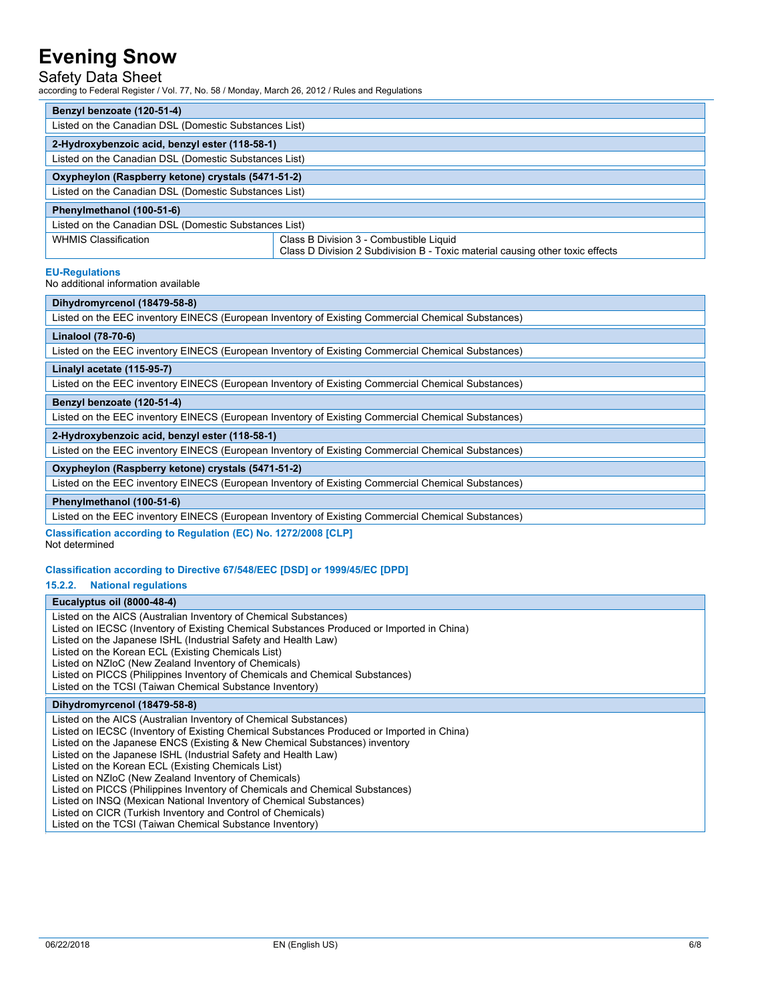## Safety Data Sheet

according to Federal Register / Vol. 77, No. 58 / Monday, March 26, 2012 / Rules and Regulations

| Benzyl benzoate (120-51-4)                            |                                                                                                                          |  |
|-------------------------------------------------------|--------------------------------------------------------------------------------------------------------------------------|--|
| Listed on the Canadian DSL (Domestic Substances List) |                                                                                                                          |  |
| 2-Hydroxybenzoic acid, benzyl ester (118-58-1)        |                                                                                                                          |  |
| Listed on the Canadian DSL (Domestic Substances List) |                                                                                                                          |  |
| Oxypheylon (Raspberry ketone) crystals (5471-51-2)    |                                                                                                                          |  |
| Listed on the Canadian DSL (Domestic Substances List) |                                                                                                                          |  |
| Phenylmethanol (100-51-6)                             |                                                                                                                          |  |
| Listed on the Canadian DSL (Domestic Substances List) |                                                                                                                          |  |
| <b>WHMIS Classification</b>                           | Class B Division 3 - Combustible Liquid<br>Class D Division 2 Subdivision B - Toxic material causing other toxic effects |  |

#### **EU-Regulations**

No additional information available

**Classification according to Regulation (EC) No. 1272/2008 [CLP]** Not determined

### **Classification according to Directive 67/548/EEC [DSD] or 1999/45/EC [DPD]**

**15.2.2. National regulations**

### **Eucalyptus oil (8000-48-4)**

| Listed on the AICS (Australian Inventory of Chemical Substances)<br>Listed on IECSC (Inventory of Existing Chemical Substances Produced or Imported in China)<br>Listed on the Japanese ISHL (Industrial Safety and Health Law)<br>Listed on the Korean ECL (Existing Chemicals List)<br>Listed on NZIoC (New Zealand Inventory of Chemicals)<br>Listed on PICCS (Philippines Inventory of Chemicals and Chemical Substances)<br>Listed on the TCSI (Taiwan Chemical Substance Inventory)                                                                                                                                                        |
|--------------------------------------------------------------------------------------------------------------------------------------------------------------------------------------------------------------------------------------------------------------------------------------------------------------------------------------------------------------------------------------------------------------------------------------------------------------------------------------------------------------------------------------------------------------------------------------------------------------------------------------------------|
| Dihydromyrcenol (18479-58-8)                                                                                                                                                                                                                                                                                                                                                                                                                                                                                                                                                                                                                     |
| Listed on the AICS (Australian Inventory of Chemical Substances)<br>Listed on IECSC (Inventory of Existing Chemical Substances Produced or Imported in China)<br>Listed on the Japanese ENCS (Existing & New Chemical Substances) inventory<br>Listed on the Japanese ISHL (Industrial Safety and Health Law)<br>Listed on the Korean ECL (Existing Chemicals List)<br>Listed on NZIoC (New Zealand Inventory of Chemicals)<br>Listed on PICCS (Philippines Inventory of Chemicals and Chemical Substances)<br>Listed on INSQ (Mexican National Inventory of Chemical Substances)<br>Listed on CICR (Turkish Inventory and Control of Chemicals) |

Listed on the TCSI (Taiwan Chemical Substance Inventory)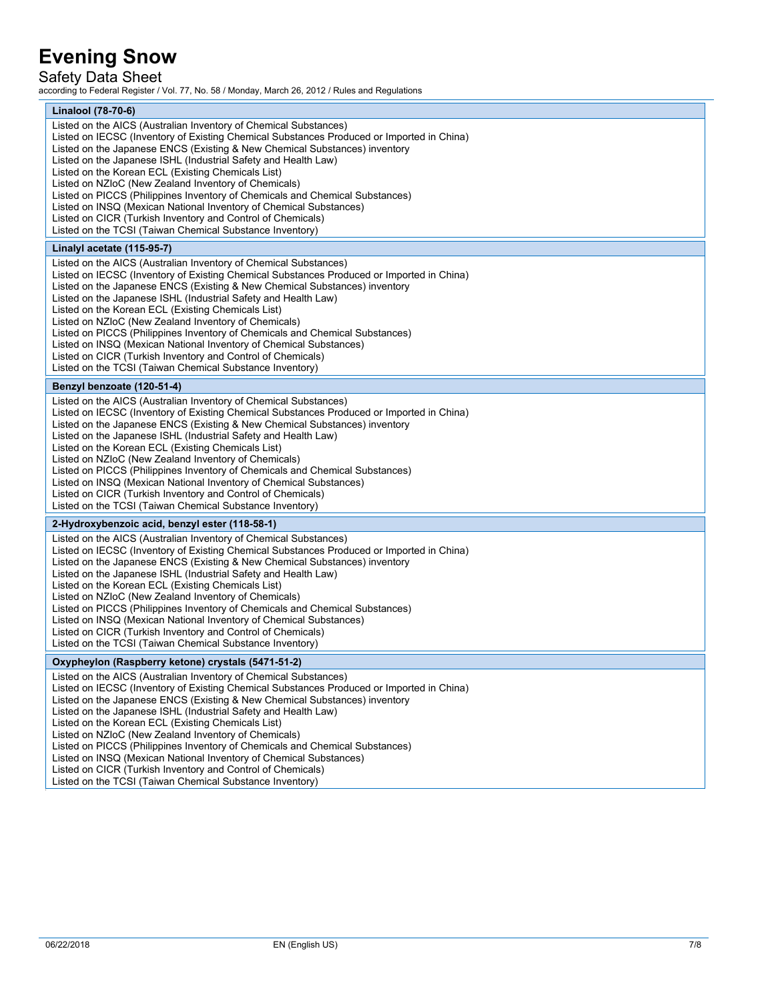### Safety Data Sheet

according to Federal Register / Vol. 77, No. 58 / Monday, March 26, 2012 / Rules and Regulations

| Linalool (78-70-6)                                                                                                                                                                                                                                                                                                                                                                                                                                                                                                                                                                                                                                                                                                                                                                                                                                                                                                                                                                                                                                                                                                                                                                                                                                                                                                              |
|---------------------------------------------------------------------------------------------------------------------------------------------------------------------------------------------------------------------------------------------------------------------------------------------------------------------------------------------------------------------------------------------------------------------------------------------------------------------------------------------------------------------------------------------------------------------------------------------------------------------------------------------------------------------------------------------------------------------------------------------------------------------------------------------------------------------------------------------------------------------------------------------------------------------------------------------------------------------------------------------------------------------------------------------------------------------------------------------------------------------------------------------------------------------------------------------------------------------------------------------------------------------------------------------------------------------------------|
| Listed on the AICS (Australian Inventory of Chemical Substances)<br>Listed on IECSC (Inventory of Existing Chemical Substances Produced or Imported in China)<br>Listed on the Japanese ENCS (Existing & New Chemical Substances) inventory<br>Listed on the Japanese ISHL (Industrial Safety and Health Law)<br>Listed on the Korean ECL (Existing Chemicals List)<br>Listed on NZIoC (New Zealand Inventory of Chemicals)<br>Listed on PICCS (Philippines Inventory of Chemicals and Chemical Substances)<br>Listed on INSQ (Mexican National Inventory of Chemical Substances)<br>Listed on CICR (Turkish Inventory and Control of Chemicals)<br>Listed on the TCSI (Taiwan Chemical Substance Inventory)<br>Linalyl acetate (115-95-7)<br>Listed on the AICS (Australian Inventory of Chemical Substances)<br>Listed on IECSC (Inventory of Existing Chemical Substances Produced or Imported in China)<br>Listed on the Japanese ENCS (Existing & New Chemical Substances) inventory<br>Listed on the Japanese ISHL (Industrial Safety and Health Law)<br>Listed on the Korean ECL (Existing Chemicals List)<br>Listed on NZIoC (New Zealand Inventory of Chemicals)<br>Listed on PICCS (Philippines Inventory of Chemicals and Chemical Substances)<br>Listed on INSQ (Mexican National Inventory of Chemical Substances) |
| Listed on CICR (Turkish Inventory and Control of Chemicals)                                                                                                                                                                                                                                                                                                                                                                                                                                                                                                                                                                                                                                                                                                                                                                                                                                                                                                                                                                                                                                                                                                                                                                                                                                                                     |
| Listed on the TCSI (Taiwan Chemical Substance Inventory)                                                                                                                                                                                                                                                                                                                                                                                                                                                                                                                                                                                                                                                                                                                                                                                                                                                                                                                                                                                                                                                                                                                                                                                                                                                                        |
| Benzyl benzoate (120-51-4)<br>Listed on the AICS (Australian Inventory of Chemical Substances)                                                                                                                                                                                                                                                                                                                                                                                                                                                                                                                                                                                                                                                                                                                                                                                                                                                                                                                                                                                                                                                                                                                                                                                                                                  |
| Listed on IECSC (Inventory of Existing Chemical Substances Produced or Imported in China)<br>Listed on the Japanese ENCS (Existing & New Chemical Substances) inventory<br>Listed on the Japanese ISHL (Industrial Safety and Health Law)<br>Listed on the Korean ECL (Existing Chemicals List)<br>Listed on NZIoC (New Zealand Inventory of Chemicals)<br>Listed on PICCS (Philippines Inventory of Chemicals and Chemical Substances)<br>Listed on INSQ (Mexican National Inventory of Chemical Substances)<br>Listed on CICR (Turkish Inventory and Control of Chemicals)<br>Listed on the TCSI (Taiwan Chemical Substance Inventory)                                                                                                                                                                                                                                                                                                                                                                                                                                                                                                                                                                                                                                                                                        |
| 2-Hydroxybenzoic acid, benzyl ester (118-58-1)                                                                                                                                                                                                                                                                                                                                                                                                                                                                                                                                                                                                                                                                                                                                                                                                                                                                                                                                                                                                                                                                                                                                                                                                                                                                                  |
| Listed on the AICS (Australian Inventory of Chemical Substances)<br>Listed on IECSC (Inventory of Existing Chemical Substances Produced or Imported in China)<br>Listed on the Japanese ENCS (Existing & New Chemical Substances) inventory<br>Listed on the Japanese ISHL (Industrial Safety and Health Law)<br>Listed on the Korean ECL (Existing Chemicals List)<br>Listed on NZIoC (New Zealand Inventory of Chemicals)<br>Listed on PICCS (Philippines Inventory of Chemicals and Chemical Substances)<br>Listed on INSQ (Mexican National Inventory of Chemical Substances)<br>Listed on CICR (Turkish Inventory and Control of Chemicals)<br>Listed on the TCSI (Taiwan Chemical Substance Inventory)                                                                                                                                                                                                                                                                                                                                                                                                                                                                                                                                                                                                                    |
| Oxypheylon (Raspberry ketone) crystals (5471-51-2)                                                                                                                                                                                                                                                                                                                                                                                                                                                                                                                                                                                                                                                                                                                                                                                                                                                                                                                                                                                                                                                                                                                                                                                                                                                                              |
| Listed on the AICS (Australian Inventory of Chemical Substances)<br>Listed on IECSC (Inventory of Existing Chemical Substances Produced or Imported in China)<br>Listed on the Japanese ENCS (Existing & New Chemical Substances) inventory<br>Listed on the Japanese ISHL (Industrial Safety and Health Law)<br>Listed on the Korean ECL (Existing Chemicals List)<br>Listed on NZIoC (New Zealand Inventory of Chemicals)<br>Listed on PICCS (Philippines Inventory of Chemicals and Chemical Substances)<br>Listed on INSQ (Mexican National Inventory of Chemical Substances)<br>Listed on CICR (Turkish Inventory and Control of Chemicals)<br>Listed on the TCSI (Taiwan Chemical Substance Inventory)                                                                                                                                                                                                                                                                                                                                                                                                                                                                                                                                                                                                                    |